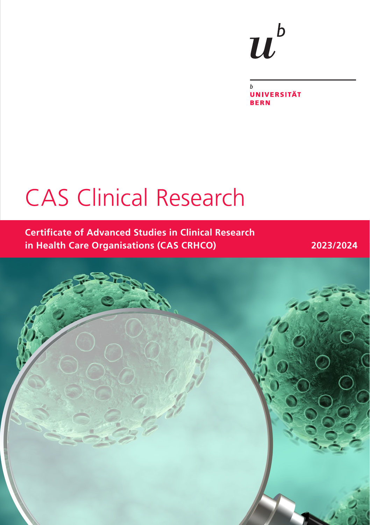# $\boldsymbol{u}^{\textit{b}}$

 $\mathbf{h}$ **UNIVERSITÄT BERN** 

# CAS Clinical Research

**Certificate of Advanced Studies in Clinical Research in Health Care Organisations (CAS CRHCO) 2023/2024**

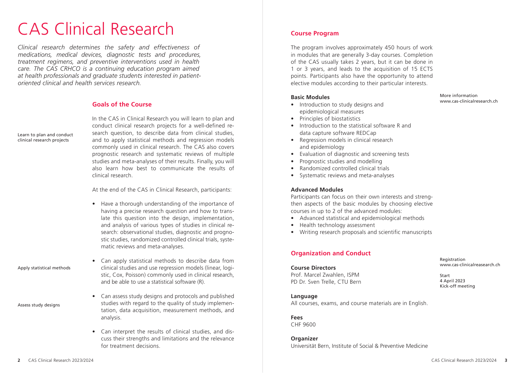# CAS Clinical Research

*Clinical research determines the safety and effectiveness of medications, medical devices, diagnostic tests and procedures, treatment regimens, and preventive interventions used in health care. The CAS CRHCO is a continuing education program aimed at health professionals and graduate students interested in patientoriented clinical and health services research.*

### **Goals of the Course**

Learn to plan and conduct clinical research projects

In the CAS in Clinical Research you will learn to plan and conduct clinical research projects for a well-defined research question, to describe data from clinical studies and to apply statistical methods and regression models commonly used in clinical research. The CAS also covers prognostic research and systematic reviews of multiple studies and meta-analyses of their results. Finally, you will also learn how best to communicate the results of clinical research.

At the end of the CAS in Clinical Research, participants:

• Have a thorough understanding of the importance of having a precise research question and how to translate this question into the design, implementation, and analysis of various types of studies in clinical research: observational studies, diagnostic and prognostic studies, randomized controlled clinical trials, systematic reviews and meta-analyses.

Apply statistical methods

- Assess study designs
- Can apply statistical methods to describe data from clinical studies and use regression models (linear, logistic, Cox, Poisson) commonly used in clinical research, and be able to use a statistical software (R).
- Can assess study designs and protocols and published studies with regard to the quality of study implementation, data acquisition, measurement methods, and analysis.
	- Can interpret the results of clinical studies, and discuss their strengths and limitations and the relevance for treatment decisions.

#### **Course Program**

The program involves approximately 450 hours of work in modules that are generally 3-day courses. Completion of the CAS usually takes 2 years, but it can be done in 1 or 3 years, and leads to the acquisition of 15 ECTS points. Participants also have the opportunity to attend elective modules according to their particular interests.

#### **Basic Modules**

- Introduction to study designs and epidemiological measures
- Principles of biostatistics
- Introduction to the statistical software R and data capture software REDCap
- Regression models in clinical research and epidemiology
- Evaluation of diagnostic and screening tests
- Prognostic studies and modelling
- Randomized controlled clinical trials
- Systematic reviews and meta-analyses

#### **Advanced Modules**

Participants can focus on their own interests and strengthen aspects of the basic modules by choosing elective courses in up to 2 of the advanced modules:

- Advanced statistical and epidemiological methods
- Health technology assessment
- Writing research proposals and scientific manuscripts

#### **Organization and Conduct**

## **Course Directors** Prof. Marcel Zwahlen, ISPM PD Dr. Sven Trelle, CTU Bern

Registration www.cas-clinicalreasearch.ch

Start 4 April 2023 Kick-off meeting

More information www.cas-clinicalresearch.ch

#### **Language**

All courses, exams, and course materials are in English.

#### **Fees**

CHF 9600

#### **Organizer**

Universität Bern, Institute of Social & Preventive Medicine